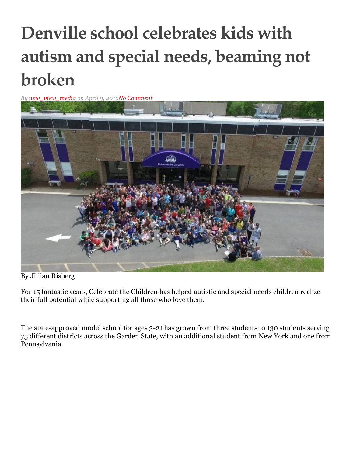## **Denville school celebrates kids with autism and special needs, beaming not broken**

*By [new\\_view\\_media](https://www.mtolivelife.com/author/new_view_media) on April 9, 201[9No Comment](https://www.mtolivelife.com/denville-school-celebrates-kids-with-autism-and-special-needs-beaming-not-broken.html#respond)*



By Jillian Risberg

For 15 fantastic years, Celebrate the Children has helped autistic and special needs children realize their full potential while supporting all those who love them.

The state-approved model school for ages 3-21 has grown from three students to 130 students serving 75 different districts across the Garden State, with an additional student from New York and one from Pennsylvania.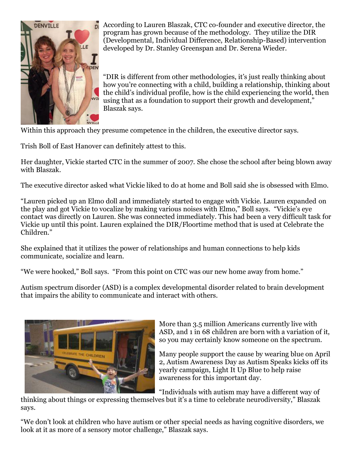

According to Lauren Blaszak, CTC co-founder and executive director, the program has grown because of the methodology. They utilize the DIR (Developmental, Individual Difference, Relationship-Based) intervention developed by Dr. Stanley Greenspan and Dr. Serena Wieder.

"DIR is different from other methodologies, it's just really thinking about how you're connecting with a child, building a relationship, thinking about the child's individual profile, how is the child experiencing the world, then using that as a foundation to support their growth and development," Blaszak says.

Within this approach they presume competence in the children, the executive director says.

Trish Boll of East Hanover can definitely attest to this.

Her daughter, Vickie started CTC in the summer of 2007. She chose the school after being blown away with Blaszak.

The executive director asked what Vickie liked to do at home and Boll said she is obsessed with Elmo.

"Lauren picked up an Elmo doll and immediately started to engage with Vickie. Lauren expanded on the play and got Vickie to vocalize by making various noises with Elmo," Boll says. "Vickie's eye contact was directly on Lauren. She was connected immediately. This had been a very difficult task for Vickie up until this point. Lauren explained the DIR/Floortime method that is used at Celebrate the Children."

She explained that it utilizes the power of relationships and human connections to help kids communicate, socialize and learn.

"We were hooked," Boll says. "From this point on CTC was our new home away from home."

Autism spectrum disorder (ASD) is a complex developmental disorder related to brain development that impairs the ability to communicate and interact with others.



More than 3.5 million Americans currently live with ASD, and 1 in 68 children are born with a variation of it, so you may certainly know someone on the spectrum.

Many people support the cause by wearing blue on April 2, Autism Awareness Day as Autism Speaks kicks off its yearly campaign, Light It Up Blue to help raise awareness for this important day.

"Individuals with autism may have a different way of

thinking about things or expressing themselves but it's a time to celebrate neurodiversity," Blaszak says.

"We don't look at children who have autism or other special needs as having cognitive disorders, we look at it as more of a sensory motor challenge," Blaszak says.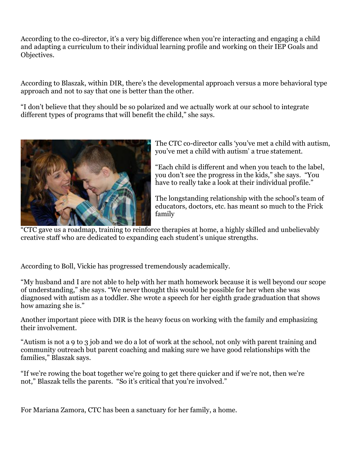According to the co-director, it's a very big difference when you're interacting and engaging a child and adapting a curriculum to their individual learning profile and working on their IEP Goals and Objectives.

According to Blaszak, within DIR, there's the developmental approach versus a more behavioral type approach and not to say that one is better than the other.

"I don't believe that they should be so polarized and we actually work at our school to integrate different types of programs that will benefit the child," she says.



The CTC co-director calls 'you've met a child with autism, you've met a child with autism' a true statement.

"Each child is different and when you teach to the label, you don't see the progress in the kids," she says. "You have to really take a look at their individual profile."

The longstanding relationship with the school's team of educators, doctors, etc. has meant so much to the Frick family

"CTC gave us a roadmap, training to reinforce therapies at home, a highly skilled and unbelievably creative staff who are dedicated to expanding each student's unique strengths.

According to Boll, Vickie has progressed tremendously academically.

"My husband and I are not able to help with her math homework because it is well beyond our scope of understanding," she says. "We never thought this would be possible for her when she was diagnosed with autism as a toddler. She wrote a speech for her eighth grade graduation that shows how amazing she is."

Another important piece with DIR is the heavy focus on working with the family and emphasizing their involvement.

"Autism is not a 9 to 3 job and we do a lot of work at the school, not only with parent training and community outreach but parent coaching and making sure we have good relationships with the families," Blaszak says.

"If we're rowing the boat together we're going to get there quicker and if we're not, then we're not," Blaszak tells the parents. "So it's critical that you're involved."

For Mariana Zamora, CTC has been a sanctuary for her family, a home.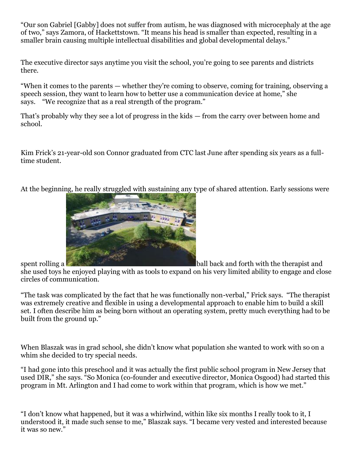"Our son Gabriel [Gabby] does not suffer from autism, he was diagnosed with microcephaly at the age of two," says Zamora, of Hackettstown. "It means his head is smaller than expected, resulting in a smaller brain causing multiple intellectual disabilities and global developmental delays."

The executive director says anytime you visit the school, you're going to see parents and districts there.

"When it comes to the parents — whether they're coming to observe, coming for training, observing a speech session, they want to learn how to better use a communication device at home," she says. "We recognize that as a real strength of the program."

That's probably why they see a lot of progress in the kids — from the carry over between home and school.

Kim Frick's 21-year-old son Connor graduated from CTC last June after spending six years as a fulltime student.

At the beginning, he really struggled with sustaining any type of shared attention. Early sessions were



spent rolling a **ball back and forth with the therapist and** she used toys he enjoyed playing with as tools to expand on his very limited ability to engage and close circles of communication.

"The task was complicated by the fact that he was functionally non-verbal," Frick says. "The therapist was extremely creative and flexible in using a developmental approach to enable him to build a skill set. I often describe him as being born without an operating system, pretty much everything had to be built from the ground up."

When Blaszak was in grad school, she didn't know what population she wanted to work with so on a whim she decided to try special needs.

"I had gone into this preschool and it was actually the first public school program in New Jersey that used DIR," she says. "So Monica (co-founder and executive director, Monica Osgood) had started this program in Mt. Arlington and I had come to work within that program, which is how we met."

"I don't know what happened, but it was a whirlwind, within like six months I really took to it, I understood it, it made such sense to me," Blaszak says. "I became very vested and interested because it was so new."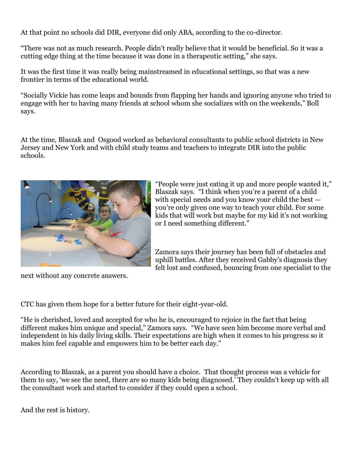At that point no schools did DIR, everyone did only ABA, according to the co-director.

"There was not as much research. People didn't really believe that it would be beneficial. So it was a cutting edge thing at the time because it was done in a therapeutic setting," she says.

It was the first time it was really being mainstreamed in educational settings, so that was a new frontier in terms of the educational world.

"Socially Vickie has come leaps and bounds from flapping her hands and ignoring anyone who tried to engage with her to having many friends at school whom she socializes with on the weekends," Boll says.

At the time, Blaszak and Osgood worked as behavioral consultants to public school districts in New Jersey and New York and with child study teams and teachers to integrate DIR into the public schools.



"People were just eating it up and more people wanted it," Blaszak says. "I think when you're a parent of a child with special needs and you know your child the best you're only given one way to teach your child. For some kids that will work but maybe for my kid it's not working or I need something different."

Zamora says their journey has been full of obstacles and uphill battles. After they received Gabby's diagnosis they felt lost and confused, bouncing from one specialist to the

next without any concrete answers.

CTC has given them hope for a better future for their eight-year-old.

"He is cherished, loved and accepted for who he is, encouraged to rejoice in the fact that being different makes him unique and special," Zamora says. "We have seen him become more verbal and independent in his daily living skills. Their expectations are high when it comes to his progress so it makes him feel capable and empowers him to be better each day."

According to Blaszak, as a parent you should have a choice. That thought process was a vehicle for them to say, 'we see the need, there are so many kids being diagnosed.' They couldn't keep up with all the consultant work and started to consider if they could open a school.

And the rest is history.